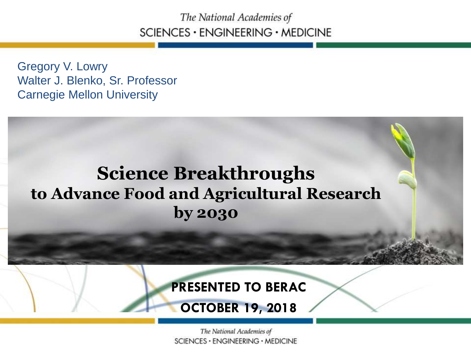The National Academies of SCIENCES · ENGINEERING · MEDICINE

Gregory V. Lowry Walter J. Blenko, Sr. Professor Carnegie Mellon University

### **Science Breakthroughs to Advance Food and Agricultural Research by 2030**

#### **PRESENTED TO BERAC**

**OCTOBER 19, 2018**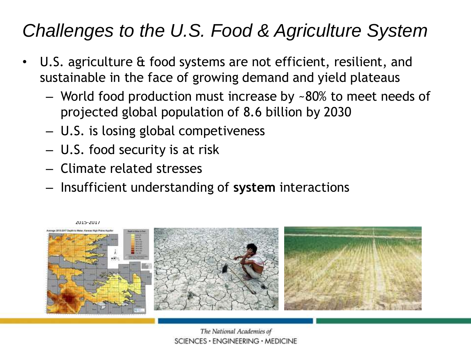### *Challenges to the U.S. Food & Agriculture System*

- • U.S. agriculture & food systems are not efficient, resilient, and sustainable in the face of growing demand and yield plateaus
	- World food production must increase by ~80% to meet needs of projected global population of 8.6 billion by 2030 Pre-development ation of  $\overline{R}$  6 billion
	- U.S. is losing global competiveness
	- U.S. food security is at risk
	- Climate related stresses
	- Insufficient understanding of **system** interactions

2015-2017

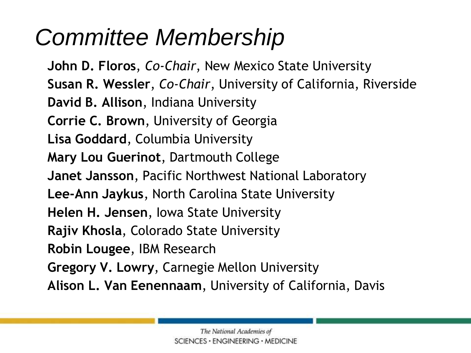## *Committee Membership*

**John D. Floros**, *Co-Chair*, New Mexico State University **Susan R. Wessler**, *Co-Chair*, University of California, Riverside **David B. Allison**, Indiana University **Corrie C. Brown**, University of Georgia **Lisa Goddard**, Columbia University **Mary Lou Guerinot**, Dartmouth College **Janet Jansson**, Pacific Northwest National Laboratory **Lee-Ann Jaykus**, North Carolina State University **Helen H. Jensen**, Iowa State University **Rajiv Khosla**, Colorado State University **Robin Lougee**, IBM Research **Gregory V. Lowry**, Carnegie Mellon University **Alison L. Van Eenennaam**, University of California, Davis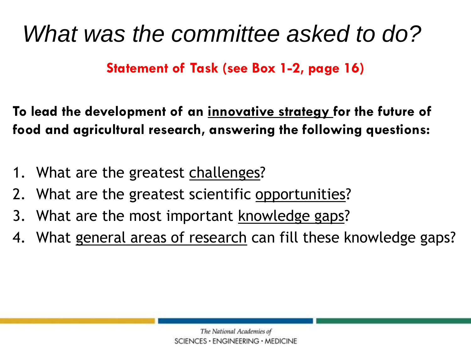## *What was the committee asked to do?*

**Statement of Task (see Box 1-2, page 16)** 

**To lead the development of an innovative strategy for the future of food and agricultural research, answering the following questions:** 

- 1. What are the greatest challenges?
- 2. What are the greatest scientific opportunities?
- 3. What are the most important knowledge gaps?
- 4. What general areas of research can fill these knowledge gaps?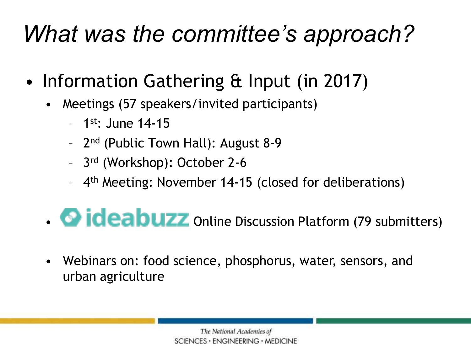## *What was the committee's approach?*

- Information Gathering & Input (in 2017)
	- Meetings (57 speakers/invited participants)
		- $-1$ <sup>st</sup>: June 14-15
		- 2nd (Public Town Hall): August 8-9
		- 3rd (Workshop): October 2-6
		- 4th Meeting: November 14-15 (closed for deliberations)
	- **OPIQEEDUZZ** Online Discussion Platform (79 submitters)
	- Webinars on: food science, phosphorus, water, sensors, and urban agriculture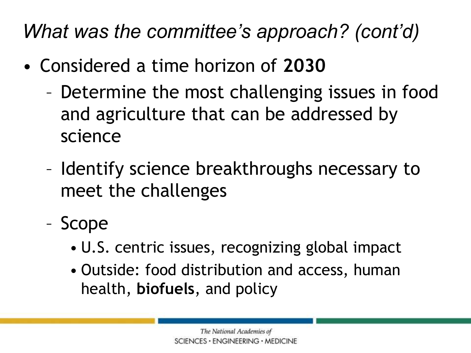### *What was the committee's approach? (cont'd)*

- Considered a time horizon of **2030** 
	- Determine the most challenging issues in food and agriculture that can be addressed by science
	- Identify science breakthroughs necessary to meet the challenges
	- Scope
		- U.S. centric issues, recognizing global impact
		- • Outside: food distribution and access, human health, **biofuels**, and policy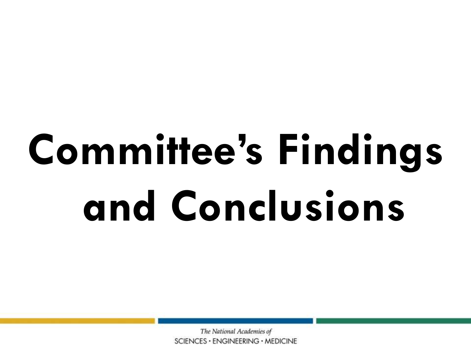# **Committee's Findings and Conclusions**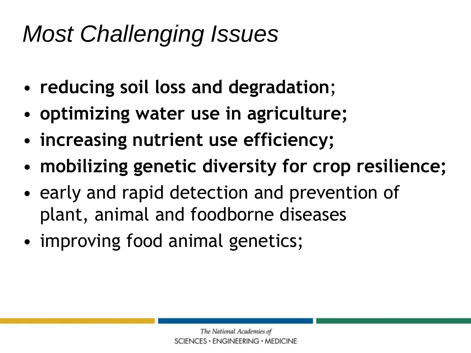## *Most Challenging Issues*

- **reducing soil loss and degradation**;
- **optimizing water use in agriculture;**
- **increasing nutrient use efficiency;**
- **mobilizing genetic diversity for crop resilience;**
- early and rapid detection and prevention of plant, animal and foodborne diseases
- improving food animal genetics;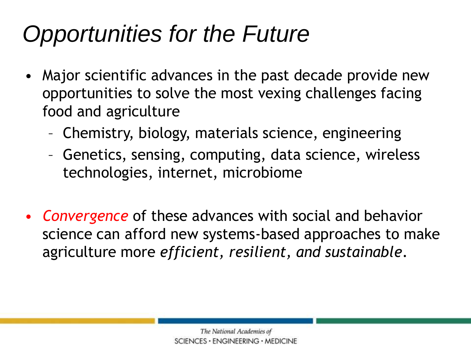## *Opportunities for the Future*

- • Major scientific advances in the past decade provide new opportunities to solve the most vexing challenges facing food and agriculture
	- Chemistry, biology, materials science, engineering
	- Genetics, sensing, computing, data science, wireless technologies, internet, microbiome
- agriculture more *efficient, resilient, and sustainable*. • *Convergence* of these advances with social and behavior science can afford new systems-based approaches to make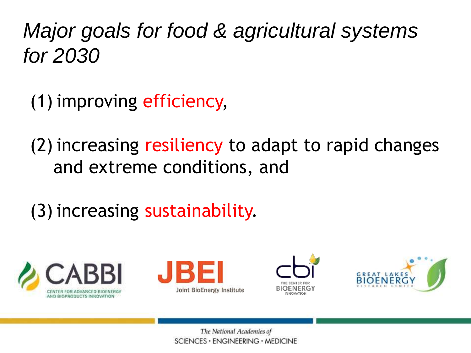*Major goals for food & agricultural systems for 2030* 

(1) improving efficiency,

(2) increasing resiliency to adapt to rapid changes and extreme conditions, and

(3) increasing sustainability.







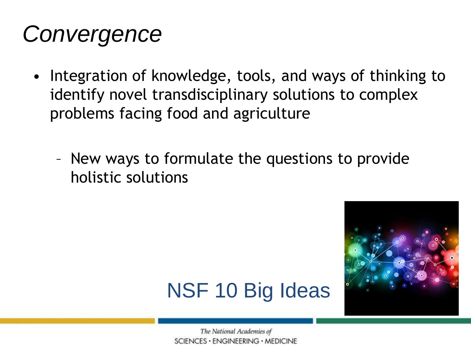## *Convergence*

- • Integration of knowledge, tools, and ways of thinking to identify novel transdisciplinary solutions to complex problems facing food and agriculture
	- – New ways to formulate the questions to provide holistic solutions



### NSF 10 Big Ideas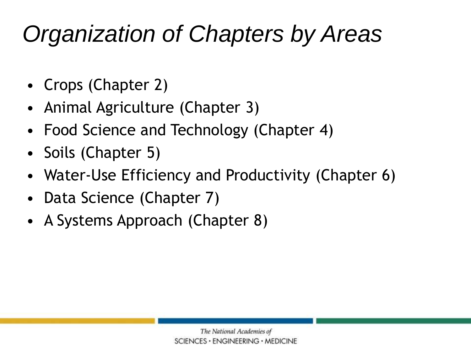## *Organization of Chapters by Areas*

- Crops (Chapter 2)
- Animal Agriculture (Chapter 3)
- Food Science and Technology (Chapter 4)
- Soils (Chapter 5)
- Water-Use Efficiency and Productivity (Chapter 6)
- Data Science (Chapter 7)
- A Systems Approach (Chapter 8)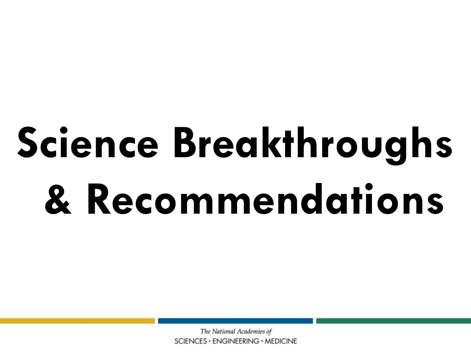# **Science Breakthroughs & Recommendations**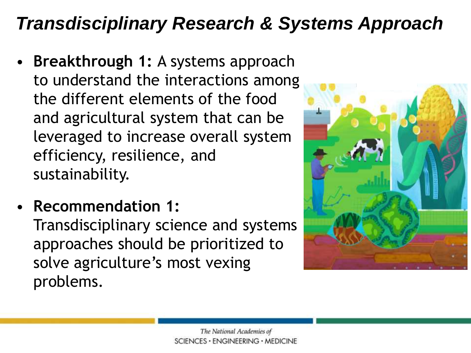### *Transdisciplinary Research & Systems Approach*

- **Breakthrough 1:** A systems approach to understand the interactions among the different elements of the food and agricultural system that can be leveraged to increase overall system efficiency, resilience, and sustainability.
- **Recommendation 1:**  Transdisciplinary science and systems approaches should be prioritized to solve agriculture's most vexing problems.

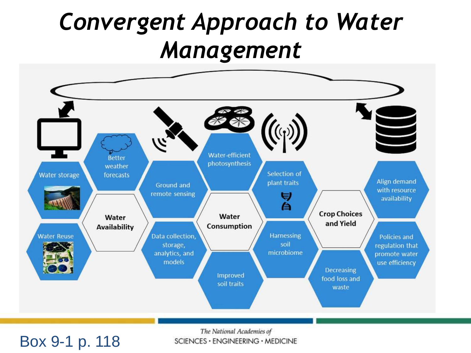## *Convergent Approach to Water Management*



The National Academies of SCIENCES · ENGINEERING · MEDICINE

#### Box 9-1 p. 118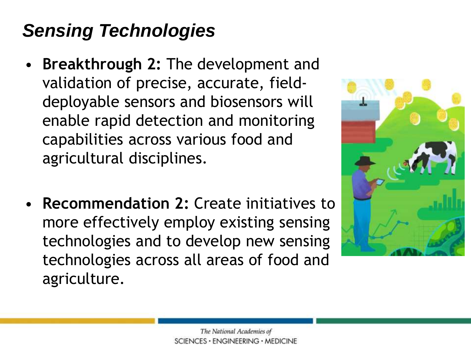### *Sensing Technologies*

- **Breakthrough 2:** The development and validation of precise, accurate, fielddeployable sensors and biosensors will enable rapid detection and monitoring capabilities across various food and agricultural disciplines.
- more effectively employ existing sensing • **Recommendation 2:** Create initiatives to technologies and to develop new sensing technologies across all areas of food and agriculture.

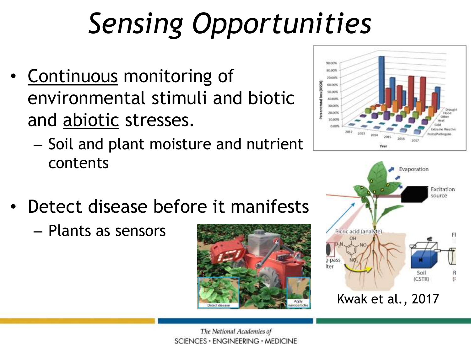## *Sensing Opportunities*

- Continuous monitoring of environmental stimuli and biotic and abiotic stresses.
	- – Soil and plant moisture and nutrient contents
- Detect disease before it manifests
	- Plants as sensors





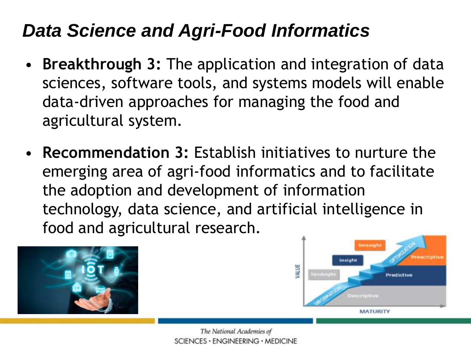### *Data Science and Agri-Food Informatics*

- • **Breakthrough 3:** The application and integration of data sciences, software tools, and systems models will enable data-driven approaches for managing the food and agricultural system.
- emerging area of agri-food informatics and to facilitate technology, data science, and artificial intelligence in • **Recommendation 3:** Establish initiatives to nurture the the adoption and development of information food and agricultural research.



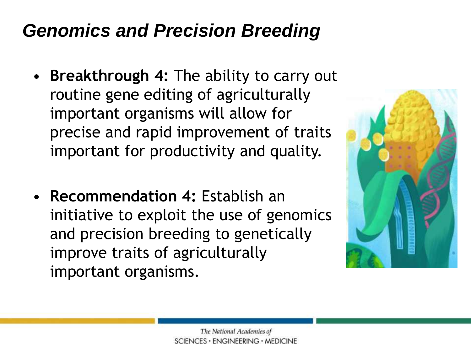### *Genomics and Precision Breeding*

- **Breakthrough 4:** The ability to carry out routine gene editing of agriculturally important organisms will allow for precise and rapid improvement of traits important for productivity and quality.
- **Recommendation 4:** Establish an initiative to exploit the use of genomics and precision breeding to genetically improve traits of agriculturally important organisms.

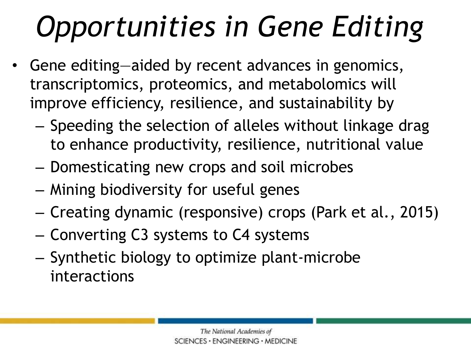## *Opportunities in Gene Editing*

- transcriptomics, proteomics, and metabolomics will Gene editing—aided by recent advances in genomics, improve efficiency, resilience, and sustainability by
	- Speeding the selection of alleles without linkage drag to enhance productivity, resilience, nutritional value
	- Domesticating new crops and soil microbes
	- Mining biodiversity for useful genes
	- Creating dynamic (responsive) crops (Park et al., 2015)
	- Converting C3 systems to C4 systems
	- Synthetic biology to optimize plant-microbe interactions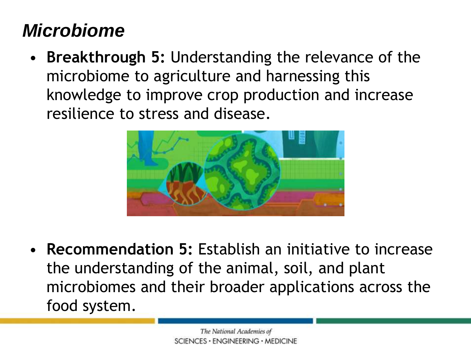### *Microbiome*

 microbiome to agriculture and harnessing this resilience to stress and disease. • **Breakthrough 5:** Understanding the relevance of the knowledge to improve crop production and increase



 the understanding of the animal, soil, and plant • **Recommendation 5:** Establish an initiative to increase microbiomes and their broader applications across the food system.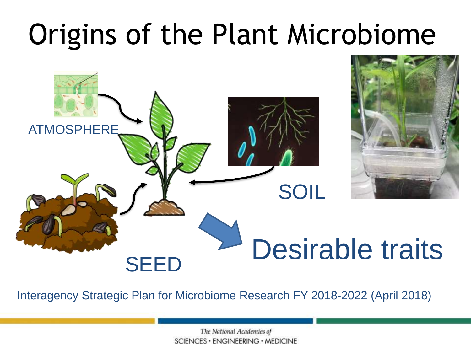## Origins of the Plant Microbiome



Interagency Strategic Plan for Microbiome Research FY 2018-2022 (April 2018)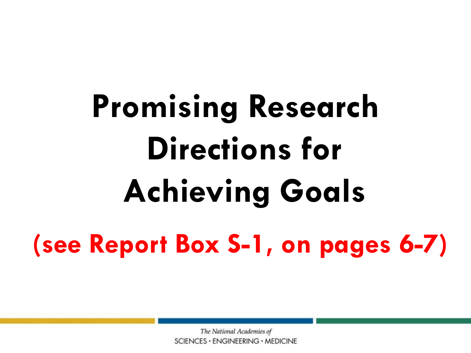# **Promising Research Directions for Achieving Goals (see Report Box S-1, on pages 6-7)**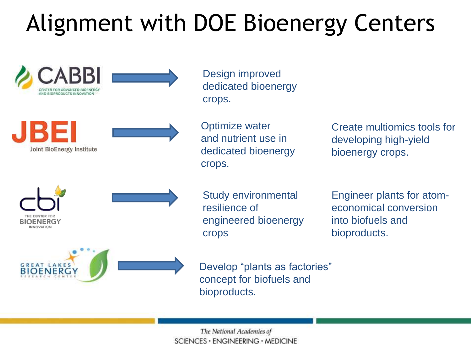## Alignment with DOE Bioenergy Centers

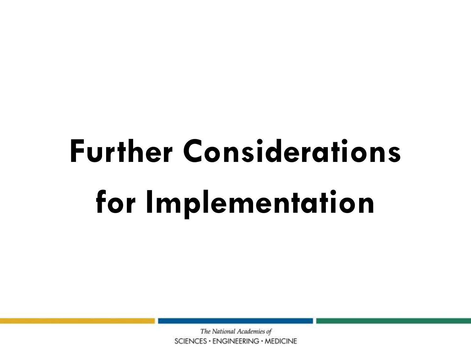# **Further Considerations for Implementation**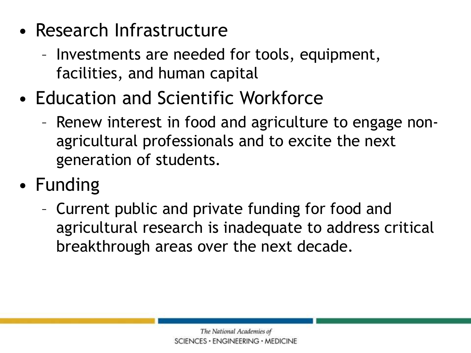- Research Infrastructure
	- Investments are needed for tools, equipment, facilities, and human capital
- Education and Scientific Workforce
	- agricultural professionals and to excite the next – Renew interest in food and agriculture to engage nongeneration of students.
- Funding
	- Current public and private funding for food and agricultural research is inadequate to address critical breakthrough areas over the next decade.